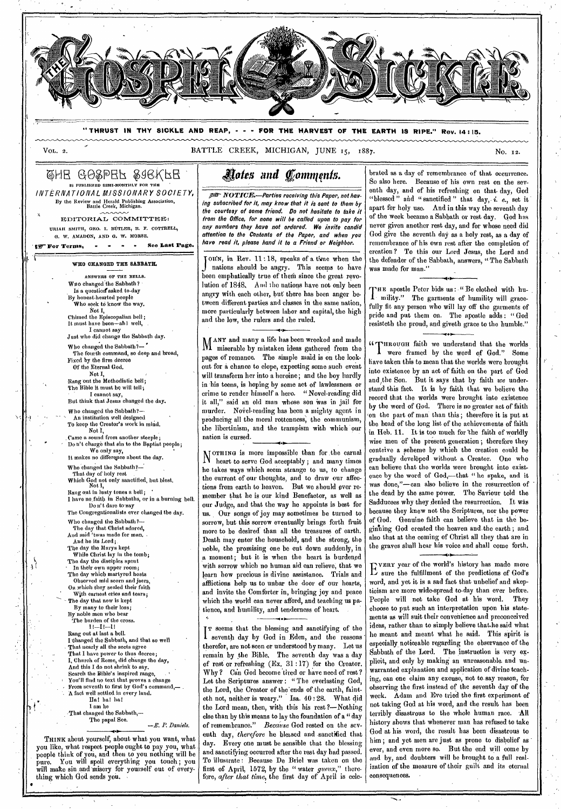

**"THRUST IN THY SICKLE AND REAP, - - - FOR THE HARVEST OF THE EARTH IS RIPE." Rev. 14 : 15.** 

VOL. 2. SATTLE CREEK, MICHIGAN, JUNE 15, 1887.

### @HE GO&PEF &aGKFE IS PUBLISHED SEMI-MONTHLY FOR THE *INTERNATIONAL MISSIONARY SOCIETY,*  By the Review and Herald Publishing Association, Battle Creek, Michigan.

EDITORIAL COMMITTEE: URIATI SMITH, ORO. I. BUTLER, R. F. COTTRELL, G. W. AMADON, AND *G.* W. MORSE.

' I For Terms, ow .0 10 - See Last Page.

#### WHO CHANGED THE SABBATH.

ANSWERS OF THE BELLS. Wuo changed the Sabbath? Is a question asked to-day By honest-hearted people<br>Who seek to know the way, Who seek td know the way. Not I,

Chimed the Episcopalian bell ; It must have been—ah I well, I cannot say

Just who did change the Sabbath day. Who changed the Sabbath?— .

The fourth command, so deep and broad, Fixed by the firm decree

Of the Eternal God. Not L Rang out the Methodistic bell;

The Bible it must be will tell; I cannot say,<br>But think that Jesus changed the day.

Who changed the Sabbath?—

"• An institution well designed TO keep the Creator's work in mind. Not I, . Came a sound from another steeple;

Don't charge that sin to the Baptist people; We only say,

It makes no differepce about the day. Who changed the Sabbath?—

That day of holy rest

Which God not only sanctified, but blest. Not I, Rang out in lusty tones a bell; •

I have no,faitli in Sabbaths, or in a burning hell. Do n't dare to-say The Congregationalists ever changed the day.

Who changed the Sabbath?— The day that Christ adored,

And said 'twas made for man.  $\cdot$ And he its Lord; The day the Marys kept While Christ lay in the tomb; The day the disciples spent In their own upper room;

The day which martyred hosts Observed mid scorn and jeers, On which they sealed their faith

With earnest cries and tears; The day that now is kept

By many to their loss; By noble men who bear

The burden of the cross. Il—Il—Il

Rang out at last a bell. I changed the Sabbath, and that so well That nearly all the sects agree That I have power to thus decree; I, Church of Rome, did change the day, And this I do not shrink to say. Search the Bible's inspired range, You'll find no text that proves a change From seventh to first by God's command,— . A fact well settled in every land. Ha! hal ha!

I am he

•

اړ

That changed the Sabbath,—<br>The papal See.  $-E. P.$  Daniels.

THINK about yourself, about what you want, what you like, what respect people ought to pay you, what people think of you, and then to you nothing will be pure. You will spoil everything you touch ; you will make sin and misery for yourself out of everything which God sends you.

# *&its and fornappits.*

**.gre- NOTIGW—Parties** *receiving this Paper, not having subscribed for it, may know that it is sent to them by the courtesy of some friend. Do not hesitate to take it from the Office, for none will be called upon to pay for any numbers they have not ordered. We invite candid attention to the Contents of the Paper, and when you have read it, please hand it to a Friend or Neighbor.* 

J nations should be angry. This seems to have<br>been emphatically true of them since the great revo-OHN, in Rev. 11:18, speaks of a time when the nations should be angry. This seems to have lution of 1848. And the nations have not only been angry with each other, but there has been anger between different parties and classes in the same nation, more particularly between labor and capital, the high and the low, the rulers and the ruled.

MANY and many a life has been wrecked and made VI miserable by mistaken ideas gathered from the pages of romance. The simple maid is on the lookout for a chance to elope, expecting some such event will transform her into a heroine; and the boy hardly in his teens, is hoping by some act of lawlessness or crime to render himself a hero. "Novel-reading did it all," said an old man whose son was in jail for murder. Novel-reading has been a mighty agent in producing all the moral rottenness, the communism, the libertinism, and the trampism with which 'our nation is cursed.

MOTHING is more impossible than for the carnal heart to serve God acceptably ; and many times he takes ways which seem strange to us, to change the current of our thoughts, and to draw our affections from earth to heaven. But we should ever remember that he is our kind Benefactor, as well as our Judge, and that the way he appoints is best for us. Our songs of joy may sometimes be turned to sorrow, but this sorrow eventually brings forth fruit more to be desired than all the treasures of earth. Death may enter the household, and the strong, the noble, the promising one be cut down suddenly, in a moment; but it is when the heart is burdened with sorrow which no human aid can relieve, that we learn how precious is divine assistance. Trials and afflictions help us to unbar the door of our hearts, and invite the Comforter in, bringing joy and peace which the world can never afford, and teaching us patience, and humility, and tenderness of heart.

I T seems that the blessing and sanctifying of the I seventh day by God in Eden, and the reasons therefor, are not seen or understood by many. Let us remain by the Bible. The seventh day was a day of rest or refreshing (Ex. 31 :17) for the Creator. Why? Can God become tired or have need of rest? Let the Scriptures answer : " The everlasting God, the Lord, the Creator of the'ends of the earth, fainteth not, neither is weary." Isa. 40:28. What did the Lord mean, then, with this his rest ?—Nothing else than by this means to lay the foundation of a " day of remembrance." Because God rested on the seventh day, *therefore* he blessed and sanctified that day. Every one must be sensible that the blessing and sanctifying occurred after the rest day had passed. To illustrate : Because De Briel was taken on the first of April, 1572, by the " water *gueux,"* therefore, *after that time,* the first day of April is celebrated as a day of remembrance of that occurrence. So also here. Because of his own rest on the seventh day, and of his refreshing on that. day, God "blessed " and " sanctified " that day,- *i.* e., set it apart for holy use. And in this way the seventh day of the week became a Sabbath or rest day. God has never given another rest day, and for whose need did God give the seventh day as a holy rest, as a day of remembrance of his own rest after the completion of creation ? To this our Lord Jesus, the Lord and the defender of the Sabbath, answers, " The Sabbath was made for man."

 $\prod_{i=1}^{n}$ HE apostle Peter bids us: "Be elothed with humility." The garments of humility will gracefully fit any person who will lay off the garments of pride and put them on. The apostle adds : " God resisteth the proud, and giveth grace to the humble."

• c4rplitoutsul faith we understand that the worlds. I were framed by the word of God." Some have taken this to mean that the worlds were brought into existence by an net of faith on the part of God and the Son. But it says that by faith we understand this fact. It is by faith that we believe the record that the worlds were brought into existence by the word of God. There is no greater act of faith 'on the part of man than this ; therefore it is put at the head of the long list of the achievements of faith in Heb. 11. It is too much for 'the faith of worldly wise men of the present generation; therefore they contrive a scheme by which the creation could be gradually developed without a Creator. Ono who can believe that the worlds were brought into existence by the word of God,—that " he spake, and it was done,"—can also believe in the resurrection of the dead by the same power. The Saviour told the Sadducees why they denied the resurrection. It was because they knew not the Scriptures, nor the power of God. Genuine faith can believe that in the beginning God created the heaven and-the earth ; and also that at the coming of Christ all they that are in the graves shall hear his voice and shall come forth.

LUERY year of the world's history has made more<br>
L sure the fulfillment of the predictions of God's word, and yet it is a sad fact that unbelief and skepticism are more wide-spread to-day than ever before. People will not take God at his word. They choose to put such an interpretation upon his statements as will suit their convenience and preconceived ideas, rather than to simply believe thathe said what he meant and meant what he said. This spirit is especially noticeable regarding the observance of the Sabbath of the Lord. The instruction is very explicit, and only by making an unreasonable. and unwarranted explanation and application of divine teaching, can one claim any excuse, not to. say reason, for observing the first instead of the seventh day of the week. Adam and Eve tried the first experiment of not taking God at his word, and the result has been terribly disastrous to the whole human race. All history shows that whenever man has refused to take God at his word, the result has been disastrous to him; and yet men are just as prone to disbelief as ever, and even more so. But the end will come by and by, and doubters will be brought to a full realization of the measure of their guilt and its eternal consequences.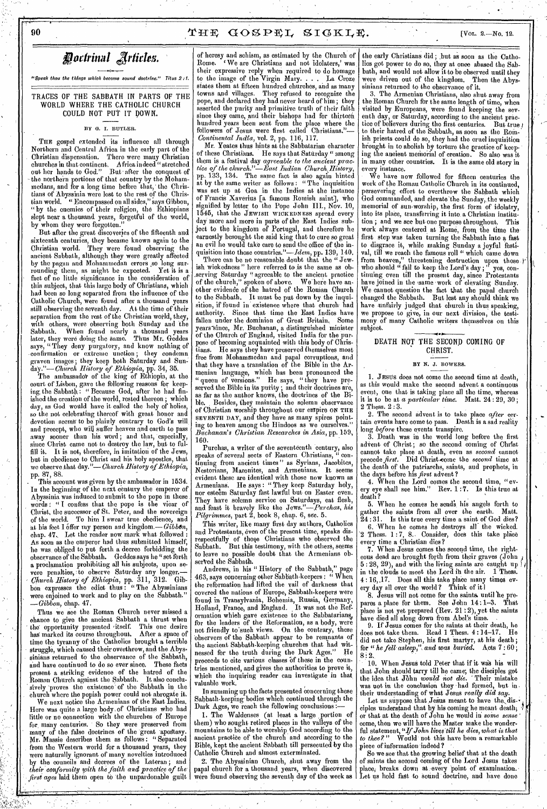### 90  $\text{YHE} \text{GOSPEL} \text{SICKLE}.$  [Vol. 2.-No. 12.

*fflottrinal jrfirles.* 

"Speak thou the things which become sound doctrine." Titus 2 ;1.

TRACES OF THE SABBATH IN PARTS OF THE WORLD WHERE THE CATHOLIC CHURCH COULD NOT PUT IT DOWN.

#### BY G. I. BUTLER.

THE gospel extended its influence all through Northern and Central Africa in the early part of the Christian dispensation. There were many Christian churches in that continent. Africa indeed " stretched out her hands to God." But after the conquest of the northern portions of that country by the Mohammedans, and for a long time before that,' the Christians of Abyssinia were lost to the rest of the Christian world. " Encompassed on all sides," says Gibbon, " by the enemies of their religion, the Ethiopians slept near a thousand years, forgetful of the world, by whom they were forgotten."

But after the great discoveries of the fifteenth and sixteenth centuries, they became known again to the Christian world. They were found observing the ancient Sabbath, although they were greatly affected by the pagan and Mohammedan errors ,so long surrounding them, as might be expected. Yet it is a fact of no little significance in the consideration of this subject, that this large body of Christians, which had been so long separated from the influence of the Catholic Church, were found after a thousand years still observing the seventh day. At the time of their separation from the rest of the Christian world, they, with others, were observing both Sunday and the Sabbath. When found nearly a thousand years later, they were doing the Same. Thus Mr. Geddes says, "They deny purgatory, and know nothing of .confirmation or extreme unction; they condemn graven images; they keep both Saturday and Sun: *day."—Church History of Ethiopia,* pp. 34, 35.

The ambassador of the king of Ethiopia, at the court of Lisbon, gave the following reasons for keeping, the Sabbath : " Because God, after he had finished the creation of the world, rested thereon; which day, as God would have it called the holy of holies, so the not celebrating thereof with great honor and devotion seems to be plainly contrary to God's will and precept, who will suffer heaven and earth to pass away sooner than his word; and that, especially, since Christ came not to destroy the law, but to fulfill it. It is not, therefore, in imitation of the Jews, but in obedience to Christ and his holy apostles, that we observe.that *day."—Church History of Ethiopia,*  pp. 87, 88.

This account was given by the ambassador in 1534. In the beginning of the next century the emperor of Abyssinia was induced to submit to the pope in these words ! " I confess that the pope is the vicar of Christ, the successor of St. Peter, and the sovereign of the world. To him I swear true obedience, and at his feet I Offer my person and kingdom.— *Gibbon,*  chap. 47. Let the reader now mark what followed As soon as the emperor had thus submitted himself, he was. obliged to put forth a decree forbidding the observance of the Sabbath. Geddes says he "set forth a proclamation prohibiting all his subjects, upon severe penalties, to observe Saturday any longer. vere penalties, to observe Saturday any *0/arch History of Ethiopia,* pp. 311, 312. Gibbon expresses the edict thus : " The Abyssinians were enjoined to work and to play on the Sabbath." *—Gibbon,* chap. 47.

Thus we see the Roman Church never missed a chance to give the ancient Sabbath a thrust when the opportunity presented 'itself. This one desire<br>has marked its course throughout. After a space of has marked its course throughout. time the tyranny of the Catholics brought a terrible struggle, which caused their overthrow, and the Abyssinians returned to the observance of the Sabbath, and have continued to do so ever since. These facts present a striking evidence of the hatred of the Roman Church against the Sabbath. It also conclusively proves the existence of the Sabbath in the Church where the popish power could not abrogate it.

We next notice the Armenians of the East Indies. Here was quite a large body, of Christians who had little or no connection with the churches of Europe for, many centuries. So they were preserved from many of the false doctrines of the great apostasy. Mr. Massie describes them as follows : " Separated from the Western world for a thousand years, they were naturally ignorant of many novelties introduced by the councils and decrees of the Lateran ; and *their conformity with the faith and practice of the*  first ages laid them open to the unpardonable guilt of heresy and schism, as estimated by the Church of Rome. We are Christians and not idolaters,' was their expressive reply when required to do homage to the image of the Virgin Mary. . . . La Croze states them at fifteen hundred churches, and as many towns and villages. They refused to recognize the towns and villages. They refused to recognize the pope, and declared they had never heard of him ; they asserted the purity and primitive truth of their faith since they came, and their bishops had for thirteen hundred years been sent from the place where the followers of Jesus were first called Christians."— *Continental India,* vol. 2, pp. 116, 117.

Mr. Yeates thus hints at the Sabbatarian character of these Christians. He says that Saturday " among them is a festival day *agreeable to the ancient practice of the church,."—East Indian Church. History,*  pp. 133, 134. The same fact is also again hinted at by the same writer as follows : "The was set up at Goa in the Indies at the instance of Francis Xaverius [a famous Romish saint], who signified by letter to the Pope John III., Nov. 10, 1545, that the JEWISH WICKEDNESS spread every day more and more in parts of the East Indies subject to the kingdom of Portugal, and therefore he earnestly besought the said king that to cure so great an evil he would take care to send the office of the inquisition into those countries."— $Idem$ , pp. 139, 140.

There can be no reasonable doubt that the " Jewish wickedness" here referred to is the same as ob-.serving Saturday "agreeable to the ancient practice of the church," spoken of above. We' here have another evidende of the hatred of the Ronian Church to the Sabbath. It must be put down by the inquisition, if found in existence where that church had authority. Since that time the East Indies have Since that time the East Indies have fallen under the dominion of Great Britain, Some years-since, Mr. Buchanan, a distinguished minister of 'the Church of England, visited India for the purpose of becoming acquainted with this body of Christians. He says they have preserved themselves most free from Mohammedan and papal corruptions, and that they have a translation of the Bible in the Armenian language, which has been pronounced the " queen of versions." He says, " they have preserved the Bible in its purity ; and their doctrines are, as far as the author knows, the doctrines of the Bible. Besides, they maintain the solemn observance of Christian worship throughout our empire ON THE SEVENTH DAY, and they have as many spires pointing to heaven among the Hindoos as we ourselves. *Buchanan's Christian Researches in Asia,* pp. 159, 160.

Purchas, a writer of the seventeenth century, also speaks of several sects of Eastern Christians, " continuing from ancient times " as Syrians, Jacobites, Nestorians, Maronites, and Armenians. It seems evident these are identical with those now known as Armenians. He says : " They keep Saturday holy, nor esteem Saturday fast lawful but on Easter even. They have solemn service on Saturdays, eat flesh, and feast it bravely like the Jews."-Purchas, his and feast it bravely like the *Jews."—Purchas, his Pilgrimmes,* part 2, book 8, chap. 6, sec. 5.

This writer, like many first day authors, Catholics and Protestants, even of the present time, speaks disrespectfully of those Christians who observed the Sabbath. But this testimony, with the others, seems to leave no possible doubt that the Armenians observed the Sabbath.

Andrews, in his " History of the Sabbath," page 463, says concerning other Sabbath-keepers : " When the reformation had lifted the vail of darkness that covered the nations of Europe, Sabbath-keepers were found in Transylvania, Bohemia, Russia, Germany, Holland, France, and England. It was not the Reformation which gave existence to the Sabbatarians, for the leaders of the Reformation, as a body, were not friendly to'suoh views. On the contrary, these Observers of the Sabbath appear to be remnants of the ancient Sabbath-keeping churches that had wit-<br>neesed for the truth during the Dark Ages." He nessed for the truth during the Dark Ages." proceeds to cite various classes of these in the countries mentioned, and gives the authorities to prove it, which the inquiring reader can investigate in that valuable work.

In summing up the facts presented concerning these Sabbath-keeping bodies which continued through the Dark Ages, we reach the following conclusions :-

1. The Waldenses (at least a large ,portion of them) who sought retired places in the valleys of the mountains to be able to worship God according to the ancient practice of the church and according to the Bible, kept the ancient Sabbath till persecuted by the Catholic Church and almost exterminated.

2: The Abyssinian Church, shut away from the papal church for a thousand years, when discovered were found observing the seventh day of the week as the early Christians did ; .but as soon as the Catholics got power to do so, they at onoe abased the Sabbath, and would not allow it to be observed until they were driven out of the kingdom. Then the Abyswere driven out of the kingdom. sinians returned to the observance of it.

3. The Armenian Christians, also shut away from the Roman Church for the same length of time, when visited by Europeans, were found keeping the seventh day, or Saturday, according to the ancient prac-<br>tice of believers during the first centuries. But true tice of believers during the first centuries. But true) to their hatred of the Sabbath, as soon as the Romish priests could do so, they had the cruel inquisition brought in to abolish by torture the practice of keeping the ancient memorial of creation. So also was it in many other countries. It is the same old story in every instance.

We have now followed for fifteen centuries the work of the Roman Catholic Church in its continued, persevering effort to overthrow the Sabbath which God commanded, and elevate'the Sunday,,the weekly memorial of sun-worship, the first form of idolatry, into its place, transferring it into. a Christian institution ; and we see but one purpose throughout. This work always centered.at 'Rome, from the time the first step was taken turning the Sabbath into a fast to disgrace it, while making Sunday a joyful festival, till we reach the famous roll " which came down from heaven," threatening destruction upon those  $t^*$ who should " fail to keep the Lord's day ; " yes, continuing even till the present day, since Protestants have joined in the same 'work of elevating Sunday. We cannot question the fact that the papal church<br>changed the Sabbath. But lest any should think we But lest any should think we have unfairly judged that church in thus speaking, we propose to give, in our next division, the testimony of many Catholic writers themselves on this subject.

#### DEATH NOT THE SECOND COMING OF CHRIST.

#### BY N. J. BOWERS.

1. JESUS does not come the second time at death, as this would make the second advent a continuous event, one that is taking place all the time, whereas is to be at *a particular time.* Matt. 24:29, 30; 2 Thess. 2 :3.

2. The second advent is to take place *after* certain events have come to pass. Death is a sad reality long *before* these events transpire.

3. Death was in the world long before the first advent of Christ; so the second coming of Christ cannot take place at death, even as *second* cannot precede *first.* Did Christ come the *second* time at the death of the patriarchs, saints, and prophets, in the days before his *first* advent ?

4. When the Lord comes the second time, "every eye shall see him." Rev. 1 :7. Is this true at death ?

5. When he comes he sends his angels forth to there the saints from all over the earth. Matt. gather the saints from all over the earth.<br> $24:31.$  Is this true every time a saint of Go Is this true every time a saint of God dies? 6. 'When he comes he destroys all" the wicked.  $2$  Thess.  $1:7$ , 8. Consider, does this take place every time a Christian dies?

7. When Jesus comes the second time, the righteous dead are brought forth from their graves (John ) 5 : 28, 29), and with the living saints are caught up in the clouds to meet the Lord in the air. 4 : 16,.17. Does all this take place many times every day all over the world ? Think of it

8. Jesus will not come for the saints: until 'he prepares a place for them. See John 14:1-3. That place is not yet prepared (Rev. 21:2), yet the saints have died all along down from Abel's time.

9. If Jesus comes for the saints at their death, he does not take them. Read 1 Thess. 4 :14-17. He did not take Stephen, his first martyr, at his death ; for "he *fell asleep,", and was buried.* Acts 7 : 60 ;  $8:2.$ 

10. When Jesus told Peter that if it was his will that John should tarry till he came; the disciples got the idea that JOhn *would not die.* Their mistake was not in the conclusion they had formed, but in. their understanding of what Jesus *really did* say.

Let us suppose that Jesus meant to have the dis- $\cdot$ ciples understand that by his coming he meant death;  $\lVert \cdot \rVert$ or that at the death of John he would in *some sense '*  come, then we will have the Master make the wonderful statement, *"If John livqs till he dies, what is that to thee?"* Would' not this have been a remarkable piece of information indeed ?

So we see that the growing belief that at the death of saints the second coming of the Lord Jesus takes place, breaks down at every 'point of examination. Let us hold fast to sound doctrine, and have done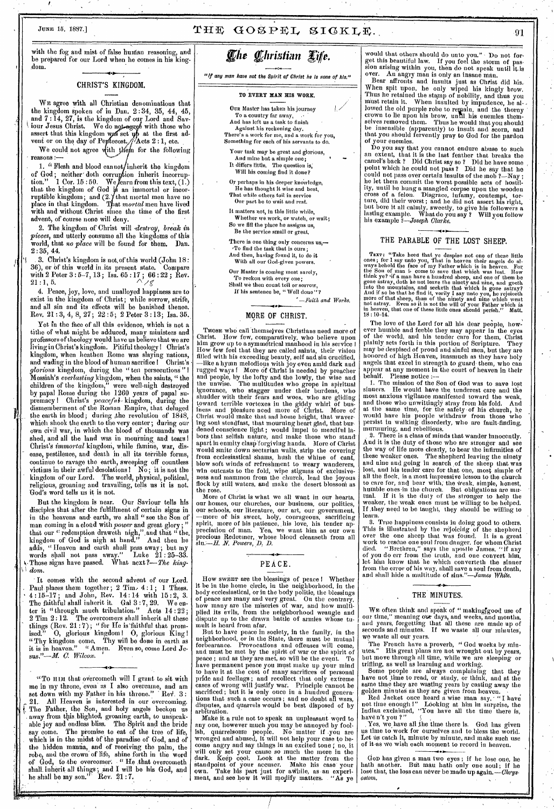# JUNE 15, 1887.]  $THE GOSPEL SIGKLE$ . 91

with the fog  $\mathbf{I}$ and mist of false human reasoning, and be prepared for our Lord when he comes in his kingdom.

#### CHRIST'S KINGDOM.

WE agree with all Christian denominations that the kingdom spoken of in Dan. 2 : 34, 35, 44, 45, and 7 : 14, 27, is the kingdom of our Lord and Sayiour Jesus Christ. We do not agree with those who assert that this kingdom was set  $\psi$  at the first advent or on the day of Pertecost.//Acts  $2:1$ , etc.

We could not agree with them for the following  $reasons : \rightarrow$ 

1. "Flesh and blood cannot/inherit the kingdom of God; neither doth corruption inherit incorruption." 1 Cor. 15:50. We fearn from this text,  $(1)$ that the kingdom of God  $i\beta$  an immortal or incorruptible kingdom; and  $(2.)$  that mortal men have no place in that kingdom. That *mortal* men have lived with and without Christ since the time of the first advent, of course none will deny.

2. The kingdom of Christ will *destroy, break in pieces,* and utterly consume all the kingdoms of this world, that *no place* will be found for them. Dan. 2:35, 44.

3. Christ's kingdom is not of this world (John 18:<br>5), or of this world in its present state. Compare 36), or of this world in its present state. with 2 Peter  $3:5-7, 13$ ; Isa.  $65:17$ ;  $66:22$ ; Rev.  $21:1, 5$ .

4. Peace, joy, love, and unalloyed happiness are to exist in the kingdom of Christ; while sorrow, strife, and all sin and its effects will be banished thence. Rev. 21 : 3, 4, 8, 27; 22 :5; 2 Peter 3:13; Isa. 35.

Yet in the face of all this evidence, which is not a tithe of what might be adduced, many ministers and professors of theology would have us believe that we are living in Christ's kingdom. Pitiful theology ! Christ's kingdom, when heathen Rome was slaying nations, and wading in the blood of human sacrifice I Christ's *glorious* kingdom*,* during.the " ten persecutions " I Messiah's *everlasting* kingdom, when the saints, " the children of the kingdom," were well-nigh destroyed by papal Rome during the 1260 years of papal supremacy ! Christ's *peaceful•* kingdom, during the dismemberment of' the Roman Empire, that deluged the earth in blood; during the revolution of 1848, which shook the earth to the very center ; during our own civil war, in which the blood of thousands was shed, and all the land was in mourning and tears ! Christ's *immortal* kingdoni, while famine, war, disease, pestilence, and death in all its terrible forms, continue to ravage the earth, sweeping off countless victims in their awful desolations I No ; it is not the kingdom of our Lord. The world, physical, political, religious, groaning and travailing, tells us it is not, God's word tells us it is not.

But the kingdom is near. Our Saviour tells his disciples that after the fulfillment of certain signs in in the heavens and• earth, we shall "see the Son of man coming in a cloud with *power* and great glory ; " that our " redemption draweth nigh," and that " the. kingdom of God is nigh at hand." And then he adds, " Heaven and earth shall pass away; but my words sisal! not pass away." Luke 21 : 25-33. •Those signs have passed. What next ?— *The kingdom.* 

It comes with the second advent of our Lord. Paul-places them together;  $2$  Tim.  $4:1$ ;  $1$  Thess. 4 :15-17 ; and John, Rev. 14 : 14 with 15 : 2, 3. The faithful shall inherit it. Gal 3 : 7, 29. We enter it "through much tribulation." Acts 14:22;<br>2 Tim 2:12. The overcomers shall inherit all these The overcomers shall inherit all these things (Rev. 21 :7); "for Ile is'faithful that promised." 0, glorious kingdom I 0, glorious King I "Thy kingdom come, Thy will be done in earth as it is in heaven." "Amen. Even so, come Lord Jesus."—M. *C. Wilcox.* 

"To HIM that overcometh will I grant to sit with me in my throne, even as I also overcame, and am set down with my Father in his throne." Rev. 3: All Heaven is interested in our overcoming. The Father, the Son, and holy angels beckon us away from this, blighted, groaning earth, to unspeakable joy and endless bliss. The Spirit and the bride say come. The promise to eat of the tree of life, which is in the midst of the paradise of God, and of the hidden manna, and of receiving the palm, the robe, and the crown of life, shine forth in the word of God, to the overcomer: • " Ho ,that overcometh shall. inherit all things; and I will be his God, and he shall be my son." Rev.  $21:7$ .

# *<i>Che Christian Life.*

"If *any man have not the Spirit of Christ he Is none of his,"* 

#### TO EVERY MAN HIS WORK.

- **OUR** Master has taken his journey To a country far away, ... And has left us a task to finish Against his reckoning day. There's a work for me, and a work for you, Something for each of his servants to do.
	- Your task may be great and glorious, And mine but a simple one; It differs little. The question is; Will his coming find it done?
- Or perhaps in his deeper knowledge, He has thought it wise and best, That while others toil in service Our part be to wait and rest.
	- It matters not, in this little while, Whether we work, or watch, or wait;
- So we fill the place he assigns us, Be the service small or great
- There is one thing only concerns us,—<br>'To find the task that is ours ; And then, having found it, to do it With all our God-given powers.
- Our Master is coming most surely, To reckon with every one;

Shall we then count toil or sorrow, If his sentence be, "Well done"?

*'—Faith, and Works.* 

### MORE OF CHRIST.

THOSE who call themselves Christians need more of Christ. How few, comparatively, who believe upon him grow up to a symmetrical manhood in his service I How few feel that they are called saints, their vision filled with his exceeding beauty, self and sin crucified, —like a hymn melodious with joy even amid dark and rugged ways f More of Christ is needed by preacher and people, by the lofty and the lowly, the wise and the unwise. The multitudes who grope in spiritual ignorance, who stagger under their burdens, who shudder with their fears and woes, who are gliding toward terrible vortexes in the giddy whirl of bus-iness and pleagure need more of Christ. More of Christ would make that sad home bright, that wavering soul steadfast, that mourning heart glad, that burdened conscience light ; would impel to merciful labors that selfish nature, and make those who stand' apart in enmity clasp forgiving hands. More of Christ would smite down sectarian walls, strip the covering from ecclesiastical shams, hush the whine of cant blow soft winds of refreshment to weary wanderers, win outcasts to the fold, wipe stigmas of exclusiveness and mammon from the church, lead the joyous flock by still waters, and make the desert blossom as the rose.

More of Christ is what we all want in our hearts, our homes, our churches, our business, our politics, our schools, our literature, our art, our government, —more of. his sweet, holy, courageous, sacrificing spirit, more of his patience, his love, his tender appreciation of man. Yea, we want him as our own precious Redeemer,, whose blood cleanseth from all *N. Powers,* D. *D.* 

### PEACE.

# How SWEET are the blessings of peace I Whether it be in the home circle, in the neighborhood, in the

body ecclesiastical, or in the body politic, the blessings of peace are many and very great. On the contrary, how many are the miseries of war, and how multiplied its evils, from the neighborhood wrangle and dispute up to the drawn battle of armies whose tumult is heard from afar.

But to have peace in society, in the family, in the neighborhood, or in the State, there must be mutual forbearance. Provocations and offenses will come, and must be met by the spirit of war or the spirit of peace ; and as they are met, so will be the event. To have permanent peace you must make up your mind to have it at the cost of many sacrifices of personal pride and feelings ; and recollect that only extreme cases of wrong will justify war. Principle cannot be sacrificed ; but it is only once in a hundred generations that such a case occurs ; and no doubt all wars, disputes, and quarrels would be best disposed of by arbitration.<br>Make it a rule not to speak an unpleasant word to

Make it a rule not to speak an unpleasant word to any one, however much you may be annoyed by fool-ish, quarrelsome people. No matter if -you are wronged and abused, it will not help your case to become angry and say things in an excited tone; no, it will only set your cause so much the more in the dark. Keep cool: Look at the matter from the standpoint of your accuser. Make his case your own. Take his part just for awhile, as an experiment, and see how it will modify matters. "As ye would that others should do unto you." Do not forget this beautiful law. If you feel the storm of passion arising within you, then do not speak until it is over. An angry man is only an insane man.

Bear affronts and insults just as Christ did his. When spit upon, he only wiped his kingly brow. Thus he retained the stamp of nobility, and thus you must retain it. When insulted by impudence, he allowed the old purple robe to regain, and the thorny crown to lie upon his brow, unril his enemies them-selves removed them. Thus he would that you should be insensible (apparently) to insult and scorn, and that you should fervently pray to God for the pardon that you should fervently pray to God for the pardon of your enemies.

Do you say that you cannot endure abuse to such an extent, that it is the last feather that breaks the camel's back ? Did Christ say so ? Did he have some , point which he could not pass ? Did he say that he could not pass over certain insults of the mob 2—Nay ; he let them commit the worst possible acts of hostil-ity, until he hung a mangled corpse upon the wooden cross of a felon, Disgrace, infamy, contempt, tor-ture, did their worst ; and he did not assert his right, but bore it all calmly, sweetly, to give his followers a lasting example. What do you say ? Will you follow his example *i--Joseph Clarke.* 

#### THE PARABLE OF THE LOST SHEEP.

**TEXT:** "Take head that ye despise not one of these little ones ; for 1 say unto you, That in heaven their angels do allowing ways behold the face of my Father which is in heaven. For the Sou of man is come to save that w

The love of the Lord for all his dear people, however humble and feeble they may appear in the eyes of the world, and his tender care for them, Christ plainly sets forth in this portion of Scripture. They may be despised of proud and sinful men, but they are honored of high Heaven, inasmuch as they have holy angels that excel in strength to guard, them, who can appear at any moment in the court of heaven in their behalf, Please notice

I. The mission of the Son of God was to save lost sinners. He would have the, tenderest care and 'the most anxious vigilance manifested toward the weak, and those who unwittingly stray from his fold. And at the same time, for the safety .of his church, he would have his people withdraw from those who persist in walking disorderly, who are fault-finding, murmuring, and rebellious.

2. There is a class of minds that wander innocently. And it is the duty of those who are stronger and see the way of life more clearly, to bear the infirmities of these weaker ones. The shepherd leaving the ninety and nine and going in search of the sheep that was<br>lost, and his tender care for that one, most simple of all the flock, is a most impressive lesson to the church to care for, and bear with; the Weak, simple, holiest, humble ones in the church. But obligations aro mu-tual. If it is the duty of the stronger to help the weaker, the weak ones must be willing to be helped. If .they need to be taught, they should be willing to learn.

3. True happiness consists in doing good to others.<br>This is illustrated by the rejoicing of the shepherd<br>over the one sheep that was found. It is a great<br>work to rescue one goul from danger, for whom Christ<br>died. "Brethren of you do err from the truth, and one convert him, let him know that he which converteth the sinner from the error of his way, shall save a soul from death, and shall hide a multitude of *sins."—James White.* 

#### THE MINUTES.

WE often think and speak of " making good use of our time," meaning our clays, and weeks, and months, and years, forgetting that all these are made up of seconds and minutes. If we waste all our minutes, we waste all our years.

The French have a proverb, " God works. by minutes." His great plans are not wrought out by years, but move through all time, while we are sleeping or trifling, as well as learning and working.

Some people are always complaining that they have not time to read, or study, or think, and at the same time they are wasting years by casting away the golden minutes as they are given from heaven.

Red Jacket once heard a wise man say, "I have not time enough I" Looking at him in surprise, the Indian exclaimed, "You have all the time there is, have n't you ?"

Yes, we have all lime time there is. God has given us time to work for Ourselves and to bless the world. Let us catch it, minute by minute, and make such use of it'as we wish each moment to record in heaven.

Gob has given a man two eyes ; if he lose one, he hath another. But man hath only one soul ; if he lose that, the loss can never be made up *again.—Chrys•*  0810M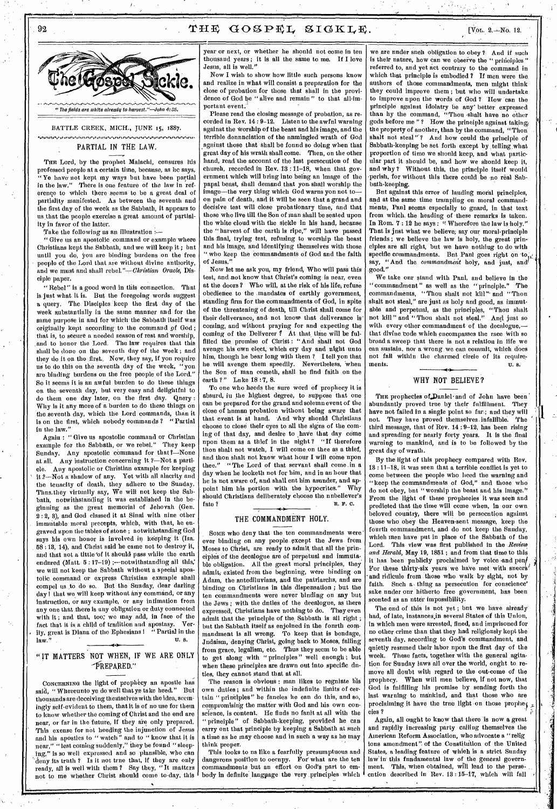## 92 THE GOSPEL SIGKLE.  $[Var 2.4N]$



BATTLE CREEK, MICH., JUNE 15, 1887. *,,,,,,,* \I fffffffff

#### PARTIAL IN THE LAW.

THE Lord, by the prophet Malachi, censures his professed people at a certain time, because, as he *says,*  "Ye have not kept my ways but have been partial<br>in the law." There is one feature of the law in ref-There is one feature of the law in reference to which there seems to be a great deal of partiality manifested. As between the seventh and the first day of the week as the Sabbath, it appears to us,that the people exercise a great amount of partiality in favor of the latter.

Take the following as an illustration :—

" Give us an apostolic command or example where Christians kept the Sabbath, and we will keep it ; but until you do, yon are binding burdens on the free people of the Lord that are without divine authority, and we must and shall *rebel."-Clerislian Oracle,* Disciple paper.

'Rebel" is a good word in this connection. That is just what it is. But the foregoing words suggest a query. The Disciples keep the first day of the week substantially in the same manner and for the same purpose in and for which the Sabbath itself was originally kept according to the command of God ; that is, to secure a needed season of rest and worship, and to honor the Lord. The law requires that this shall be done on the seventh day of the week; and they do it on the first. Now, they say, if yon require us to do this on the seventh day of the week, "you are binding burdens on the free people of the Lord." So it seems it is au awful burden to do these things on the seventh day, but very easy and delightful to do them one day later, on the first day. Query : Why is it any more of a burden to do these things on the seventh day, which the Lord commands, than it is on the first, which nobody commands ? " Partial in the law."

Again : " Give us apostolic command or Christian example for the Sabbath, or we rebel." They keep Sunday. Any apostolic command for that ?- None at all. Any instruction concerning it ?—Not a particle. Any apostolic or Christian example for keeping it 3—Not a shadow of any. Yet with all alacrity and the tenacity of death, they adhere to the Sunday. Thus,they virtually say, We will not keep the Sabbath, notwithstanding it was established in the beginning as the great memorial of Jehovah (Gen. 2 : 2, 8), and God classed it at Sinai with nine other immntable moral precepts, which, with that, be engraved upon the tables of stone ; notwithstanding God says his own honor is involved in keeping it (Isa. 58 :13, 14), and Christ said he came not to destroy it, and that not a tittle 'of it should pass while the earth endnred (Matt.  $5:17-19$ ) ;--notwithstanding all this, we will not keep the Sabbath without a special apostolic command or express Christian example shall compel us to do so. But the Sunday, dear darling day l that we will keep without any command, or any instruction, or any example, or any intimation from any one that there is any obligation or duty connected with it ; and that, too; we may add, in face of the fact that it is, a child of tradition and apostasy. Verily, great is Diana of the Ephesians 1 " Partial in the  $\mathbf{u} \cdot \mathbf{w}$  . U. a.

### "IT MATTERS NOT WHEN, IF WE ARE ONLY —PREPARED."

#### CONCERNING the light of prophecy an apostle has said, " Whereunto ye do well that ye take heed." But thousands are deceiving themselves with the idea, seemingly self-evident to them, that it is of no use for them to know whether the coming of Christ and the end are near, or far in the future, if they are only prepared. This exense for not heeding the injunction of Jesus and his apostles to " watch" and to " know that it is near," " lest coining suddenly," they be found " sleeping," is so well expressed and so plausible, who can deny its truth ? Is it not trne that, if they are only ready, all is well with them ? Say they, "It matters not to me whether Christ should come to-day, this

year or next, or whether he shondd not eome in ten<br>thousand years; it is all the same to me. If I love thousand years; it is all the same to me. Jesus, all is well."

Now I wish to show how little such persons know and realize in what will consist a preparation for the close of probation for those that shall in the providence of God be " alive and remain " to that all-important event.

Please read the closing message of probation, as recorded in Rev.  $14:9-12$ . Listen to the awful warning against the worship of the beast and his image, and the terrible dennnciation of the nnmingled wrath of God against those that shall be found so doing when that great day of his wrath shall come. Then, on the other hand, read the account of the last persecution of the church, recorded in Rev. 13 : 11-18, when that government which will bring into being an image of the papal beast, shall demand that you-shall worship the image—the very thing which God warns you not to on pain of death, and it will be seen that a grand and decisive test will close probationary time, and that those who live till the Son of man shall be seated upon the white cloud with the sickle in his hand, hecanse the "harvest of the earth is ripe," will have passed this final, trying test, refusing to worship the beast and his image, and identifying themselves with those " who keep the commandments of God and the faith of Jesus."

Now let me ask you, my friend, Who will pass this test, and not know that Christ's coming is near, even at the doors 7 Who will, at the risk of his life; refuse obedience to the .mandates of earthly government, standing firm for the commandments of God, in spite of the threatening of death, till Christ shall come for their deliverance, and not know that deliverance is coming, and without praying for and ekpecting the coming of the Deliverer  $\ell$  At that time will be fulfilled the promise of Christ: "And shall not God avenge his own elect, which cry day and night unto him, though he bear long with them ? I tell you that he will avenge them speedily. Nevertheless, when the Son of man cometh, shall he find faith on the earth ?" Lnke 18:7, 8.

To one who heeds the sure word of prophecy it is absurd, in the highest degree, to suppose that one can be prepared for the grand and solemn event of the elose of human probation without being aware that that event is at hand. And why should Christians choose to close their eyes to all the signs of the coming of that day, and desire to have that day come upon them as a thief in the night? "If therefore thon shalt not watch, I will come on thee as a thief, and thou shalt not know what hour I will come upon thee." "The Lord of that servant shall come in a day when he looketh not for him, and in an hour that he is not aware of, and shall cut him asunder, and appoint him his portion with the hypocrites." Why should Christians deliberately choose the unbeliever's fate ? R. P. C.

#### THE COMMANDMENT HOLY.

Some who deny that the ten commandments were ever binding on any people except the Jews from Moses to Christ, are ready to admit that all the principles of the decalogue are of perpetual and immilta-. ble obligation. All the great moral principles, they admit; existed from the beginning, were binding on Adam, the antediluvians, and the patriarchs, and are binding on Christians in this dispensation ; but the ten commandments were never binding on any but the Jews; with the duties of the decalogue, as there<br>expressed. Christians have nothing to do. They even expressed. Christians have nothing to do. admit that the principle of the Sabbath is all right ; but the Sabbath itself as enjoined in the fourth commandment is all wrong. To keep that is bondage, Judaism, denying Christ, going back to Moses, falling from grace, legalism, etc. Thus they seem to be able to get along with "principles" well enongh; but when these principles are drawn out into specific duties, they cannot stand that at all.

The reason is obvious : man likes to regnlate his own duties ; and within the indefinite limits of certain " principles" he fancies he can do this, and so, compromisidg the matter with God and his own conscience, is content. He finds no fanit at all with the " principle" of Sabbath-keeping, provided he can carry out that principle by keeping a Sabbath at such a time as he may choose and in such a way as he may think proper.

This looks to ns like a fearfully presumptuous and dangerons position to occupy. For what are the ten commandments but an effort on God's part to embody in definite language the very principles which

we are nnder sneh obligation to obey ? And if such is their nature, how can we observe the " principles referred to, and yet act contrary to the command in which that principle is embodied ? If men were the authors of those commandments, men might think they could improve them ; but who will undertake to improve upon the words of God ? 'How 'can the principle against idolatry be any' better expressed than by the command, "Thou 'shalt have no other gods before me "? How the principle against taking the property of another, than by the command, "Thon shalt not steal"? And how could the principle of Sabbath-keeping be set forth except by telling what proportion of time we should keep, and what particular part it should be, and how we should keep it, and why ? Without this, the principle itself would perish, for without this there could be no real Sabbath-keeping.

But against this error of lauding moral principles, and at the same time trampling on moral commandments, Panl seems especially to gnard, in that text from which, the heading of these remarks is taken. In Rom.  $7:12$  he says: " Wherefore the law is holy." That is jnst what we believe, say our moral-principle friends ; we believe the law is holy, the great principles are all right, but we have nothing to do with specific commandments. But Paul goes right on to, say, "And the *commandment* holy, and just, and good."

We take onr stand with Panl, and believe in the ' commandment" as well as the "principle." The commandments, "Thou shalt not kill" and "Thou shalt not steal," are just as holy and good, as immutable and perpetual, as the principles, "Thou shalt not kill" and "Thou shalt not steal." And just so with every other commandment of the decalogue, that divine code which encompasses the race with so broad a sweep that there is not a relation in life we can sustain. nor a wrong we can commit, which does not fall within the charmed circle of its require-<br>ments. U. s. ments.  $\qquad \qquad \mathbf{u. s.}$ 

#### WHY NOT BELIEVE?

THE prophecies of Daniel·and of John have been abundantly proved true by their fulfillment. They have not failed in a single point so far; and they will<br>not. They have proved themselves infallible. The not. They have proved themselves infallible. third message, that of Rev. 14 : 9-12, has been rising and spreading for nearly forty years. It is the final warning to mankind, and is to be followed by the great day of wrath.

By the light of this prophecy compared with Rev. 13 : 11-18, it was seen that a terrible conflict is yet to come between the people who heed the warning and "keep the commandments of God," and those who do not obey, bnt " worship the beast and his image." From the light of these prophecies it was seen and predicted that the time will come when, in our own beloved country, there will be persecution against those who obey the Heaven-sent message, keep the fourth commandment, and do not keep the Snuday, which men have put in place of the Sabbath of the Lord. This view was first published in the *Review and Herald,* May 19, 1851 ; and from that time to this it has been publicly proclaimed by voice and pen/ For these thirty-six years we have met with sneers" and ridicule from those who walk by sight, not by faith. Such a thing as persecution for conscience' sake nnder onr hitherto free government, has been sconted as an ntter impossibility.

The end of this is not yet; but we have already had, of late, instances in several States of this Union, in which men were arrested, fined, and imprisoned for no other crime than that they had religiously kept the seventh day, according to God's commandment, and quietly resumed their labor upon the first day of the week. These facts, together with the general agitation for Sunday laws all over the world, ought to remove all doubt with regard to the out-come of the prophecy. When will men believe, if not now, that When will men believe, if not now, that God is fulfilling his promise by sending forth the last warning to mankind, and that those who are proclaiming it have the trne light on those prophe<sub>j</sub> cies ?

Again, all ought to know that there is now a great and rapidly increasing party calling themselves the American Reform Association, who advocate a "relig ions amendment". of the Constitution of the United States, a leading feature of which is a strict Sunday law'in this fundamental law of the general government. This, when obtained, will lead to the persecution described in Rev. 13 : 15-17, which will fall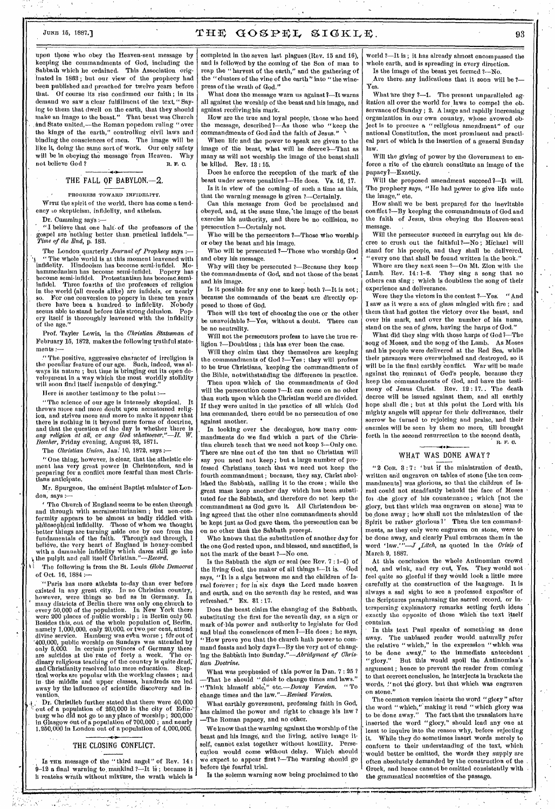# JUNE 15, 1887.]  $THE GOSPEL SIGKLE,$   $93$

upon those who obey the Heaven-sent message by keeping the commandments of God, including the Sabbath which he ordained. This Association originated in 1863 ; but our view of the prophecy had been published and preached for twelve years before that. Of course its rise confirmed our faith ; in its demand we saw a clear fulfillment of the text, " Saying to them that dwell on the earth, that they should make an imago to the beast." That beast was Church and State united,—the Roman popedom ruling "over the kings of the earth," controlling civil laws and binding the consciences of men. The image will be like it, doing the same sort of work, Our only safety will be in obeying the message from Heaven. Why not believe God? not believe God?

### THE FALL OF BABYLON.-2.

#### PROGRESS TOWARD INFIDELITY.

WITH the spirit of the world, there has come a tendency to skepticism, infidelity, and atheism.

Dr. Cumming says:-

, "I believe that one half• of the professors of the spel are nothing better than practical infidels."-*Time of the End,* p. 183.

The London quarterly *Journal of Prophecy* says :-" The whole world is at this moment leavened with infidelity. Hindooism has become semi-infidel. Mo-hammedanism has become semi-infidel. Popery has become semi-infidel. Protestantism has become semiinfidel. Three fourths of the professors of religion in the world (all creeds alike) are infidels, or nearly so. For one conversion to popery in these ten years there have been a hundred. to infidelity. Nobody seems able to stand before this strong delusion. Popery itself is thoroughly leavened with the infidelity ery itself i<br>of the age."

Prof. Taylor Lewis, in the *Christian Statesman* of February 15, 1872, makes the following truthful statements :-

." The. positive, aggressive character of irreligion is the peculiar feature of our age. Such, indeed, was always its nature ; but time is bringing out its open development in a way which the most worldly stolidity will soon find itself incapable of denying."

Here is another testimony to the point :—

"The science of our age is intensely skeptical. throws More and more doubt upon accustomed religion, and strives more and more to make it appear that there is nothing in it beyond mere forms of doctrine, and that the question of the day is whether 'there is *any religion at all,* or any *God whatsoever."—H.W. Beecher,* Friday evening, August 23, 1871.

The *Christian Union*, Jan. 10, 1872, says :

"One thing, however, is clear, that the atheistic element has very great power in Christendom, and is preparing for a conflict more fearful than most Christians anticipate.

Mr. Spurgeon, the eminent Baptist minister of London, says :—

The Church of England seems to be eaten through and through with sacrainentarianism ; but non-conformity appears to be almost as badly riddled with philosophical infidelity. Those of whom we thought better things are turning aside one by one from the fundamentals of the faith. Through and through, I believe, the very heart of England is honey-combed with a damnable infidelity which dares still go into the pulpit and call itself Christian."— $\emph{Record.}$ 

The following is from the St. Louis *Globe Democrat* of Oct. 16, 1884 :—

'"Paris has more atheists to-day than ever before existed In any great city. In no Christian country, however, were things so bad as in Germany. In many districts of Berlin there was only one church to every 50,000 of the population. In New York there were 200 places of public worship ; in Berlin only 50. Besides this, out of the whole population of, Berlin, namely 1,000,000, only 20,000, or two.per cent, attend divine service. Hamburg was even worse ; for out of "400,000, public worship on Sundays was attended by only 5,000. In certain provinces of Germany there are suicides at the rate of forty a week. The ordinary religious teaching of the country is quite dead; and 'Christianity resolved into mere education. Skeptical works are popular with the working classes ; and in the middle and upper classes, hundreds are led away by the influence of scientific discovery and invention,

Dr. Christlieb further stated that there were 40,000 Dr. Christlieb further stated that there were 40,000<br>out of a population of 250,000 in the city of Edin--<br>burg who did not go to any place of worship ; 200,000 in Glasgow out Of a population of 700,000 ; and nearly 1,250,000 in London out of a population of 4,000,000.

#### THE CLOSING CONFLICT.

Is THE message of the "third angel" of Rev. 14:  $9-12$  a final warning to mankind ?-It is; because it h reatehs wrath without mikture, the wrath which is

completed in the seven last plagues (Rev. 15 and 16), and is followed by the coming of the Son of man to reap the "harvest of the earth," and the gathering of the "clusters of the vine of the earth" into "the winepress of the wrath of God."

What does the message warn us against ?-It warns all against the worship of the beast and his image, and against receiving his mark.

How are the true and loyal people, those who heed the message, described ?- As those who "keep the commandments of God and the faith of Jesus."

When life and the power to speak are given to the image of the beast, what will he deereel—That as many as will not worship the image of the beast shall be killed. Rev. 13 : 15.

Does he enforce the reception of the mark of the beast under severe penalties 7—He does. Vs. 16, 17. Is it in view of the coming of such a time as this,

that the warning message is given ?—Certainly. Can this message from God be proclaimed and obeyed, and, at the same time, 'the image of the beast

exercise his authority, and there be no collision, no persecution ?—Certainly not.

Who will be the persecutors ?—Those who worship or obey the beast and his image.

Who will be persecuted ?- Those who worship God and obey his message.

Why will they be persecuted ?—Because they keep the commandments of God, and not those of the beast and his image.

Is it possible for any one to keep both 2—It is not ; because the commands of the beast are directly opposed to those of God.

Then will the test of choosing the one or the other be unavoidable ?—Yes; without a doubt. There can be no neutrality.

Will not the persecutors profess to have the true religion ?-Doubtless; this has ever been the case.

Will they claim that they themselves are keeping the commandments of God ?-Yes; they will profess to be true Christians, keeping the commandments of the Bible, notwithstanding the difference in practice.

Then upon which of the commandments of God will the persecution come 7—It can come on no other than such upon which the Christian world are divided. If they were united in the practice of all which God has commanded, there could be no persecution of one against another.

In looking over the decalogue, how many commandments do we find which a part of the Christian church teach that we need not keep ?--Only one. There are nine out of the ten that no Christian will say you need not keep; but a large number of professed Christians, teach that we need not keep the fourth commandment ; because, they say, Christ abolished the Sabbath, nailing it to the cross ; while the great mass keep another day which has been substituted for the Sabbath, and therefore do not keep the commandment as God gave it. All Christendom being agreed that the other nine commandments should be kept just as God gave them, the persecution can be on no other than the Sabbath precept.

Who knows that the substitution of another day for the one God rested upon, and blessed, and sanctified, is not the mark of the beast ?—No one.

Is the Sabbath the sign or seal (see Rev.  $7:1-4$ ) of the living God, the maker of all things  $3-1$ t is. God the living God, the maker of all things 3--It is. says, "It is a sign between me and the children of Israel forever ; for in six days the Lord made heaven and earth, and on the seventh day he rested, and was refreshed." Ex. 31 : 17.

Does the beast claim the changing of the Sabbath, substituting the first for the seventh day, as a sign or mark of-his power and authority to legislate for God and bind the consciences of men1—He does ; he says, "How prove you that the church hath power to command feasts and holy days 7—By the very act of changing the Sabbath into *Sunday."—Abridgment of Christian Doctrine.* 

What was prophesied of this power in Dan. 7 : 25 ? —That he should *"think* to change times and laws." "Think himself able'," etc.—Douay *Version. "* To change times and the *law."—Revised Version.* 

What earthly government, professing faith in God, has claimed the power and right to change his law ? —The Roman papacy, and no other.

We know that the warning against the worship of the beast and his image, and the living, active image itself, cannot exist together without hostility. Persecution would come without delay. Which should we expect to appear first ?—The warning should go before the fearful trial.

Is the solemn warning now being proclaimed to the

world ?—It is ; it has already almost encompassed the whole earth, and is spreading in every direction. Is the image of the beast yet formed ?--No.

Are there. any indications that it soon will be ?-Yes.

What are they ?--1. The present unparalleled agitation all over the world for laws to compel the observance of Sunday ; 2. A large and rapidly increasing organization in our own country, whose avowed object is to procure a "religious amendment" of our national Constitution, the most prominent and practical part of which is the insertion of a general Sunday law.

Will the giving of power by the Government to enforce a rite of the church constitute an image of the papacy1—Exactly.

Will the proposed amendment succeed 1—It will. The prophecy says, "He had power to give life unto the image," etc.

How shall we be best prepared for the inevitable conflict 7—By keeping the commandments of God and the faith of Jesus, thus obeying the Heaven-sent message. ,

Will the persecutor succeed in carrying out his decree to crush out the faithful?—No ; Michael will stand for his people, and they shall be delivered, "every one that shall be found written in the book."

Where are they next seen ?- On Mt. Zion with the Lamb. Rev. 14:1-6. They sing a song that no They sing a song that no others can sing ; which is doubtless the song of their experience and deliverance.

Were they the victors in the contest ?—Yes. "And I saw as it were a sea of glass mingled with fire ; and them that had gotten the victory over the beast, and over his mark, and over the number of his name, stand on the sea of glass, having the harps of God."

What did they sing with those harps of God?—The song of Moses, and the song of the Lamb. As Moses and his people were delivered at the Red Sea, while their pursuers were overwhelmed and destroyed, so it will be in the final earthly conflict. War will be made against the, remnant of God's people, because they keep the commandments of God, and have the testimony of Jesus Christ. Rev. 12 : 17.. The death decree will be issued against them, and all earthly hope shall die ; but at this point the Lord with his mighty angels will appear for their deliverance, their sorrow be turned to rejoicing and praise, and their enemies will be seen by them no more, till brought forth in the second resurrection to the second death. R. F. G.

#### • WHAT WAS DONE AWAY?

" 2 Con. 3 : 7 ; 'but if the ministration of death, written and engraven on tables of stone [the ten commandments] was glorious, so that the children of Israel could not steadfastly behold the face of Moses fom .the glory of his countenance ; which [not the glory, but that which was engraven on stone] was to be done away ; how shall not the ministration of the Spirit be rather glorious ?' Then the ten commandments, as they only were engraven on stone, were to be done away, and clearly Paul embraces them in the word 'law.'" $-J$ , Litch, as quoted in the Crisis of  $-J$ *, Litch*, as quoted in the *Crisis* of March.9, 1887.

At this conclusion the whole Antinomian crowd nod, and wink, and cry out, Yes. They would not feel quite so gleeful if they would look a little mere carefully at the construction of the language. It is always a sad sight to see a professed expositor of the Scriptures paraphrasing the sacred record, or interspersing explanatory remarks setting forth ideas exactly the opposite of those which the text itself contains.

In this text Paul speaks of something as done away. The unbiased reader would naturally refer the relative "which," in the expression "which was to be done away," to the immediate antecedent "glory." But this would spoil the Antinomian's argument ; hence to prevent the reader from coming to that correct conclusion, he interjects in brackets the words, "not the glory. but that which was engraven on stone."

The common version inserts the word "glory" after the word " which," making it read "which glory was to be done away." The fact that the translators have inserted the word "glory," should lead any one at least to inquire into the reason why, before rejecting it. While they do sometimes insert words merely to conform to their understanding of the text, which would better be omitted, the words they supply are often absolutely demanded by the construction of the Greek, and hence cannot be omitted consistently with the grammatical necessities of the passage.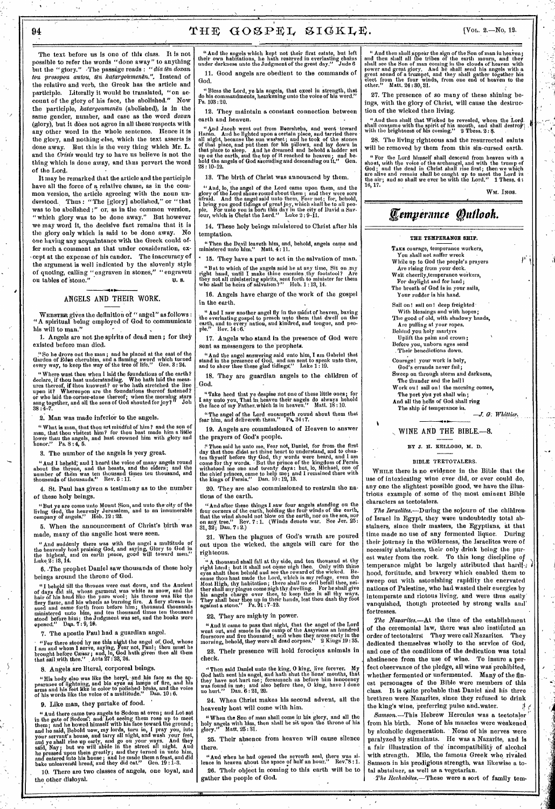The text before us is one of this class. It is not possible to refer the words "done away" to anything<br>but the "glory." The passage reads : "dia ten doxan tou prosopou autou, tën katargoumenën.". Instead of the relative and verb, the Greek has the article and participle. Literally it would be translated, "on account of the glory of his face, the abolished." Now the participle, katargoumenen (abolished), is in the same gender, number, and case as the word doxan (glory), but it does not agree in all these respects with any other word in the whole sentence. Hence it is the glory, and nothing else, which the text asserts is done away. But this is the very thing which Mr. L.<br>and the Crisis would try to have us believe is not the thing which is done away, and thus pervert the word of the Lord.

It may be remarked that the article and the participle have all the force of a relative clause, as in the common version, the article agreeing with the noun understood. Thus: "The [glory] abolished," or "that derstood. Thus: And  $B_1$ , is in the common version, "which glory was to be done away." But however<br>we may word it, the decisive fact remains that it is the glory only which is said to be done away. No one having any acquaintance with the Greek could offer such a comment as that under consideration, except at the expense of his candor. The inaccuracy of the argument is well indicated by the slovenly style of quoting, calling "engraven in stones," "engraveu<br>ou tables of stone." U. S.

## ANGELS AND THEIR WORK.

WEBSTER gives the definition of "angel" as follows :<br>"A spiritual being employed of God to communicate his will to man."

1. Angels are not the spirits of dead men; for they existed before man died.

"So he drove out the man; and he placed at the east of the Gardon of Eden cherubim, and a flaming sword which turned<br>every way, to keep the way of the tree of life." Gen. 3:24.

"Where wast thou when I laid the foundations of the earth?<br>declare, if thou hast understanding. Who hath laid the measures thereof, if thou knowest? or who hath stretched the line<br>upon it? Whereupon are the foundations th "Where wast thou when I laid the foundations of the earth?

2. Man was made inferior to the angels.

"What is man, that thou art mindful of him? and the son of man, that thou visitest him? for thou bast made him a little lower thau the angels, and hast crowned him with glory and honor." Ps.  $8:4, 5$ .

8. The number of the angels is very great.

"Aud I heheld, aud I heard the voice of many angels round about the throne, and the beasts, and the elders; and the number of them was ten thousand times teu thousand, and thousauds of thousands." Rev. 5:11.

4. St. Paul has given a testimony as to the number of these holy beings.

"But ye are come unto Mouut Sion, and uuto the city of the living God, the heavenly Jerusalem, and to an innumerable company of angels." Heb.  $12:22$ .

5. When the announcement of Christ's birth was made, many of the angelic host were seen.

" And suddenly there was with the angel a multitude of<br>the heavenly host praising God, and saying, Glory to God in<br>the highest, and on earth peace, good will toward men."  $the$  $t$ Luke 2: 18. 14.

6. The prophet Daniel saw thousands of these holy beings around the throne of God.

beings around the throne of voca.<br>
"I belief till the throne or voca.<br>
of days did sit, whose garment was white as snow, and the<br>
hair of his head like the pure wool; his throne was like the<br>
flery flame, and his wheels as

7. The apostle Paul had a guardian angel.

"For there stood hy me this night the angel of God, whose<br>I am and whom I serve, saying, Fear not, Paul; thou must he<br>brought before Cæsar; and, lo, God hath given thee all them<br>that sail with thee." Acts 27:28, 24.

8. Angels are literal, corporeal beings.

"His hody also was like the heryl, and his face as the appearance of lightning, and his eyes as lamps of fire, and his arms aud his feet like in color to polished brass, and the voice of his words like the voice of a multi

9. Like man, they partake of food.

9. Like man, they partake of 1000.<br>
"And there came two augels to Sodom at even; and Lot sat<br>
in the gate of Sodom': and Lot seeing them rose up to meet<br>
them; and he bowed himself with his face toward the ground;<br>
and he

10. There are two classes of angels, one loyal, and the other disloyal.

"And the angels which kept not their first estate, but left<br>their own habitations, he hath reserved in everlasting chains<br>under darkness unto the Judgment of the great day." Jude 6 11. Good angels are obedient to the commands of God.

"Bless the Lord, ye his angels, that excel in strength, that<br>o his commandments, hearkening unto the voice of his word." do his comn<br>Ps.  $103:20$ .

12. They maintain a constant connection between earth and heaven.

"And Jacob went out from Beersheba, and went toward<br>Haran. And he lighted upon a certain place, and tarried there<br>all night, because the sun was set; and he took of the stones<br>of that place, and put there for his pillows,  $28 \cdot 10 - 12$ 

13. The birth of Christ was announced by them.

"Aud, lo, the angel of the Lord came upon them, and the glory of the Lord shone round about them; and they were sore afraid. And the angel said unto them, Fear not; for, behold, I bring you good tidings of great joy, whic

14. These holy beings ministered to Christ after his temptation.

"Then the Devil leaveth him, and, behold, angels came and ministered unto him." Matt.  $4:11$ .

\* 15. They have a part to act in the salvation of man. "But to which of the angels said he at any time, Sit on my right hand, until I make thine enemies thy footstool? Are they not all ministering spirits, sent forth to minister for them who shall be heirs of salvation?" Heb.

16. Angels have charge of the work of the gospel

in the earth.

" And I saw another angel fly in the midst of heaven, baving<br>the everlasting gospel to preach unto them that dwell on the<br>earth, and to every nation, aud kindred, and tongue, and peo-<br>ple." Rev. 14:6.

17. Angels who stand in the presence of God were sent as messengers to the prophets.

"And the angel answering said unto him, I am Gabriel that stand in the presence of God, and am sent to speak unto thee, and to show thee these glad tidings." Luke  $1:19$ .

18. They are guardian angels to the children of God.

"Take heed that ye despise not one of these little ones; for I say unto you, That in heaven their angels do always hehold the face of ury Father, which is iu heaven." Matt.  $18:10$ .

"The angel of the Lord eucampeth round about them that<br>fear him, and delivereth them." Ps, 34:7.

19. Angels are commissioned of Heaven to answer the prayers of God's people.

the physics of stocks poople.<br>
"Then said he unto me, Fear not, Daniel, for from the first<br>
day that thou didst set thine heart to understand, and to chas-<br>
ten thyself before thy God, thy words were heard, and I am<br>
come

20. They are also commissioned to restrain the nations of the earth.

"And after these things I saw four angels standing ou the four corners of the earth, holding the four winds of the earth, that the wind should not blow on the earth, nor on the sea, nor on any tree." Rev.  $7:1$ . (Winds de on any tree." Rev<br>31, 32; Dau. 7: 2.)

21. When the plagues of God's wrath are poured out upon the wicked, the angels will care for the righteous.

righteous.<br>
"A thousand shall fall at thy side, and ten thousand at thy<br>
right hand; but it shall not come uigh thee. Only with thine<br>
eyes shalt thou behold and see the reward of the wicked. Be-<br>
eause thou hast made the

22. They are mighty in power.

"And it came to pass that night, that the angel of the Lord<br>went out, aud smote in the camp of the Assyrians an hundred<br>fourscore aud five thousaud; and when they arose early iu the<br>morning, behold, they were all dead corp

23. Their presence will hold ferocious animals in check.

"Then said Daniel unto the king, O king, live forever. My God hath sent his angel, and hath shut the lions' mouths, that they have not hurt me; forasmuch as before him innocency was found in me; aud also before thee, O ki

24. When Christ makes his second advent, all the heavenly host will come with him.

"When the Son of man shall come in his glory, and all the holy angels with him, then shall he sit upon the throne of his glory." Matt.  $25:31$ .

25. Their absence from heaven will cause silence

"And when he had opened the seventh seal, there was si-<br>noe in heaven ahout the space of half an hour." Rev. 8:1. lence 26. Their object in coming to this earth will be to gather the people of God.

" And then shall appear the sign of the Son of man iu heaven;<br>and then shall all the tribes of the earth mourn, and they<br>shall see the Son of man coming in the clouds of heaven with<br>power and great glory. And he shall sen elect from the four wind<br>other." Matt. 24:30, 31.

27. The presence of so many of these shining beings, with the glory of Christ, will cause the destruction of the wicked then living.

don or the wideow that Wicked be revealed, whom the Lord.<br>
shall consume with the spirit of his mouth, and shall destroy;<br>
with the brightness of his coming." 2 Thess. 2:8.

28. The living righteous and the resurrected saints will be removed by them from this sin-cursed earth.

shown that the local bins of the land descend from heaven with a<br>shout, with the voice of the archangel, and with the trump of<br>God; and the dead in Christ shall rise first; then we which<br>are alive and remain shall be caug 16.17.

WM. INGS.

p,

# Temperance Quilook.

#### THE TEMPERANCE SHIP.

TAKE courage, temperance workers,

You shall not suffer wreck While up to God the people's prayers

Are rising from your deck.

Wait cheerily, temperance workers,

Your rudder is his hand.

Sail on! sail on! deep freighted

With blessings and with hopes;<br>The good of old, with shadowy hands, Are pulling at your ropes.<br>Behind you holy martyrs<br>Uplift the palm and crown;

Before you, unborn ages send<br>Their benedictions down.

Courage! your work is holy, God's errands never fail: Sweep on through storm and darkness,<br>The thunder and the hall l

Work ou! sail on! the morning comes,

The port you yet shall win;

And all the hells of God shall ring The ship of temperance in.

 $-J. G. Whittier.$ 

#### WINE AND THE BIBLE.-8.

ВҮ Ј. Н. КЕLLOGG, М. D.

#### BIBLE TEETOTALERS.

WHILE there is no evidence in the Bible that the use of intoxicating wine ever did, or ever could do, any one the slightest possible good, we have the illustrious example of some of the most eminent Bible characters as teetotalers.

The Israelites.-- During the sojourn of the childrenof Israel in Egypt, they were undoubtedly total abstainers, since their masters, the Egyptians, at that time made no use of any fermented liquor. During their journey in the wilderness, the Israelites were of necessity abstainers, their only drink being the purest water from the rock. To this long discipline of temperance might be largely attributed that hardfhood, fortitude, and bravery which enabled them to sweep out with astonishing rapidity the enervated nations of Palestine, who had wasted their euergies by intemperate and riotous living, and were thus easily vanquished, though protected by strong walls and fortresses.

The Nazarites.-- At the time of the establishment of the ceremonial law, there was also instituted an order of teetotalers! They were call Nazarites. They dedicated themselves wholly to the service of God, and one of the conditions of the dedication was total abstinence from the use of wine. To insure a perfect observance of the pledge, ail wine was prohibited, whether fermented or unfermented. Many of the finest personages of the Bible were members of this class. It is quite probable that Daniel and his three brethren were Nazarites, since they refused to drink the king's wine, preferring pulse and water. 4

Samson.-This Hebrew Hercules was a teetotaler from his birth. None of his muscles were weakened by alcoholic degeneration. None of his nerves were paralyzed by stimulants. He was a Nazarite, and is a fair illustration of the incompatibility of alcohol with strength. Milo, the famous Greek who rivaled Samson in his prodigious strength, was likewise a total abstaiuer, as well as a vegetarian.

The Rechabites.-These were a sort of family tem-

For daylight and for land:

The breath of God is in your sails,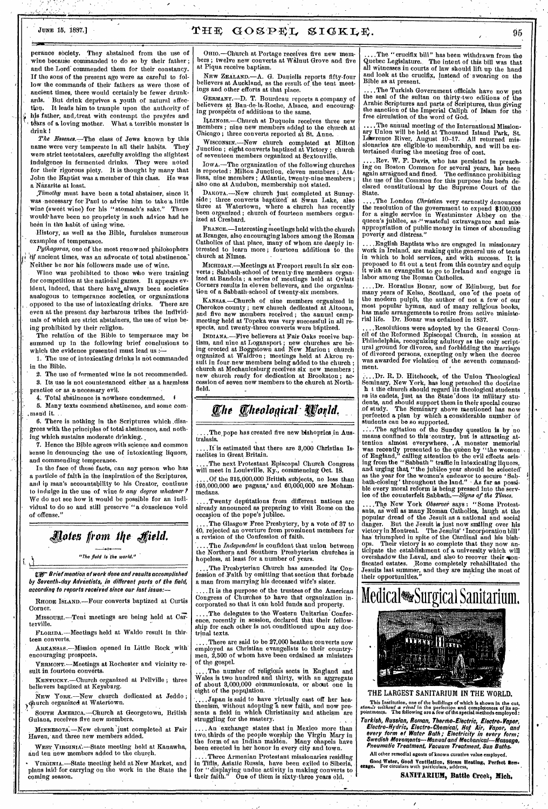# JUNE 15, 1887.]  $T H E G O S P E L S I G K L E,$

perance society. They abstained from the use of wine because commanded to do so by their father; and the Lord' commended them for their constancy. If the sons of the present age were as careful to follow the commands of their fathers as were those of ancient times, there would certainly be fewer drunkards. But drink deprives a youth of natural affec-It leads him to trample upon the authority of his father, and,treat with contempt the prayers and tears of a loving mother. What a terrible monster is drink

The Essenes.-The class of Jews known by this name were very temperate in all their habits. They were strict teetotalers, carefully avoiding the slightest indulgence in fermented drinks. They were noted for their rigorous piety. It is thought by many that John the Baptist was a member of this class. He was a Nazarite at least.

*Timothy* must have been a total abstainer, since it was necessary for Paul to advise him to take a little wine (sweet wine) for his "stomach's sake." There would have been no propriety in such advice had he been in the habit of using wine.

History; as well as the Bible, furnishes numerous examples of temperance.

Pythagoras, one of the most renowned philosophers bif ancient times, was an advocate of total abstinence. Neither he nor his followers made use of wine.

Wine was prohibited to those who were training for competition at the national games. It appears evident, indeed, that there have always been societies analogous to temperance societies, or organizations opposed to the use of intoxicating drinks. There are even at the present day barbarous tribes the individuals of which are strict abstainers, the use of wine being prohibited by their religion.

The relation of the Bible to temperance may be summed up in the following brief conclusions to which the evidence presented must lead us :-

1. The use of. intoxicating drinks is not commanded in the Bible.

2. The use of fermented wine is not recommended. 3. Its use is not countenanced either as a harmless practice or as a necessary evil.

4. Total abstinence is nowhere condemned.

5. Many texts commend abstinence, and some com- , mand it.

6. There is nothing in the Scriptures which disagrees with the principles of total abstinence, and nothing which sustains moderate drinking.

7. Hence the Bible agrees with science and common sense in denouncing the use of intoxicating liquors, and commending temperance.

In the face of these facts, can any person who has a particle of faith in the inspiration of the Scriptures, and in man's accountability to his Creator, continue to indulge in the use of wine *to any degree whatever? We* do not see how it would be possible for an individual to do so and still preserve "a conscience void of offense."

# *<u>Alotes from the Sield.</u>*

"The field la the world."

A **PF** Brief mention of work done and results accomplished by Seventh-day Adventists, in different parts of the field, according to reports received since our last issue:-

RHODE ISLAND.—Four converts baptized at Curtis Corner.

Missount —Tent meetings are being held at Carterville.

FLORIDA.—Meetings held at Waldo result in thirteen converts.

ARKANSAS.—Mission opened in Little Rock with encouraging prospects.

VERMONT.--Meetings at Rochester and vicinity result in fourteen converts.

KENTUCKY.—Church organized at Yellville ; three believers baptized at Keysburg.

NEw YORK.—New church dedicated at Jeddo ; Illitirch organized at Watertown.

SOUTH AMERICA.-Church at Georgetown, British Guiana, receives five new members.

MINNESOTA..—New church just completed at Fair Haven, and three new members added.

WEST VIRGINIA.—State meeting held at Kanawha, and ten new members added to the church.

VIRGINIA.—State meeting held at New Market, and plans laid for carrying on the work in the State the coming season.

ORIO.—Church at Portage receives five new members ; twelve new converts at Walnut Grove and five at Piqua receive baptism.

NEW ZEALAND.—A. G. Daniells reports fifty-four believers at Auckland, as the result of the tent meet-ings and other efforts at that place.

GERMANY.—D. T. Bourdeau reports a company of believers at Ban-de-la-Roche, Alsace, and encouraging prospects of additions to the same.

Ittmois.—Church at Duquoin receives three *new*  members ; nine new members added to the church at Chicago; three converts reported at St. Anne.

WiscoNsfx.—New church completed at Milton Junction ; eight converts baptized at Victory ; church of seventeen members organized at Sextonville.

IOWA.—The organization of the following churches is reported : Milton Junction, eleven members ; Atalissa, nine members ; Atlantic, twenty-nine members ; also one at Audubon, membership not stated.

DAKOTA.—New church just completed at Sunny-side ; three converts baptized' at Swan Lake, also three at Watertown, where a church has recently been organized ; church of fourteen members organized at Cresbard.

FRANCE.-Interesting meetings held with the church at Branges, also encouraging labors among the Roman Catholics of that place, many of whom are deeply interested to learn more ; fourteen additions to the church at Nimes.

MICHIGAN.—Meetings at Freeport result in six converts ; Sabbath-school of twenty-five members organ-ized at Bandola ; a series of meetings held at Oviatt Corners results in eleven believers, and the organization of a Sabbath-school of twenty-six members.

KANSAS.-Church of nine members organized in Cherokee county ; new church dedicated at Altoona, and five new members received ; the annual campmeeting held at Topeka was very successful in all respects, and twenty-three converts were baptized.

INDIANA.—Five believers at Fair Oaks receive baptism, and nine at Logansport ; new churches are being erected at Boggstown and New Marion ; church organized at Waldron ; meetings held at Akron result in four new members being added to the church ; church at Mechanicsburg receives six new members ; new church ready for dedication at Brookston ; accession of seven new members to the church at Northfield.

# $Q$ heological World.

....The pope has created five new bishoprics in Australasia. tralasia. •

....If is estimated that there are 8,000 Christian Israelites in Great Britain.

....The next Protestant Episcopal Church Congress will meet in Louisville, Ky., commencing Oct. 18.

....Of the 315,000,000 British subjects, no less than 195,000,000 are pagans,' and 60,000,000 are Mohammedans.

..Twenty depútations from different nations are already announced as preparing to visit Rome on the occasion of the pope's jubilee.

The Glasgow Free Presbytery, by a vote of 37 to 40, rejected an overture from prominent members for a revision of the Confession of faith.

.The *Independent* is confident that union between the Northern and Southern Presbyterian churches is hopeless, at least for a number of years.

The Presbyterian Church has amended its Confession of Faith by omitting that section that forbade a man from marrying his deceased wife's sister.

..It is the purpose of the trustees of the American Congress of Churches to have that organization incorporated so that it can hold funds and property.

....The delegates to the Western Unitarian Conference, recently in session, declared that their fellowship for each other is not conditioned upon any doctrinal texts.

... There are said to be 27,000 heathen converts now employed as Christian evangelists to their countrymen, 2,500 of whom have been ordained as ministers of the gospel.

..The number of religiods sects in England and Wales is two hundred and thirty, with an aggregate of about 3,000,000 communicants, or about one in eight of the population.

..Japan is said to have virtually cast off her heathenism, without adopting a new faith, and now presents a field in which Christianity and atheism are struggling for the mastery.

....An exchange states that in Mexico more than two, thirds of the people worship the Virgin Mary in the form of an Indian maiden. Many chapels have been erected in her honor in every city and town.

Three Armenian Protestant missionaries residing in Tiflis, Asiatic Russia, have been exiled to Siberia, for "displaying undue activity in making converts to their faith." One of them is sixty-three years old.

..The "crucifix bill" has been withdrawn from the Quebec Legislature.. The intent of this bill was that all witnesses in courts of law should lift up the hand and look at the crucifix, instead of swearing on the Bible as at present.

....The Turkish Government officials have now put the seal of the sultan on thirty-two editions of the Arabic Scriptures and parts of Scriptures, thus giving the sanction of the Imperial Caliph of Islam for the free circulation of the word of God.

....The annual meeting of the International Missionary Union will be held at Thousand Island Park, St. Lawrence River, August 10-17. All returned missionaries are eligible•to membership, and will be en-tertained during the meeting free of cost.

..Rev. W. F. Davis, who has persisted in preaching on Boston Common for several years, has been again arraigned and fined. The ordinance prohibiting the use of the Common for this purpose has been de-clared constitutional *by* the Supreme Court of the State.

....The London *Christian* very earnestly denounces<br>the resolution of the government to expend \$100,000<br>for a single service in Westminster Abbey on the<br>queen's jubilee, as "wasteful extravagance and mis-<br>appropriation of poverty and distress."

....English Baptists who are engaged in missionary work in Ireland, are making quite general use of tents in which to hold services, and with success. It is proposed to fit out a tent rom this country and equip it with an evangelist to go to Ireland and engage in labor among the Roman Catholics.

....Dr. Horatius Bonar, now of Edinburg, but for many years of Kelso, Scotland, one of the poets of the modern pulpit, the author of not a few of our most popular hymns, and of many religious books, has made arrangements to retire from active ministe-rial life. Dr. Bonar was ordained in 1837.

....Resolutions were adopted by the General Council of the Reformed Episcopal Church, in session at Philadelphia, recognizing adultery as the only scriptural ground for divorce, and forbidding the marriage of divorced persons, excepting only when the decree was awarded for violation of the seventh command-ment.

...Dr. R. D. Hitchcock, of the Union Theological Seminary, New York, has long preached the doctrine h t the church should regard its theological students as its cadets, just as the State'does its military students, and should support them in their special course of study. The Seminary above mentioned has now perfected a plan by which a considerable number of  $\ddot{\textbf{s}}$ tudents can be so supported.

.:..The agitation of the Sunday question is by no means confined to this 'country, but is attracting attention almost everywhere. A monster memorial was recently presented to the queen by "the women of England," calling attention to the evil effects arising from the "Sabbath " traffic in intoxicating liquors, and urging that "the jubilee year should be selected' as the year for the women's endeavor to secure ' Sab-bath-closing' throughout the land." As far as possible every moral reform is being pressed into the service of the counterfeit Sabbath.—Signs *of the Times.* 

The Now York *Observer* says : "Some Protestants, as well as many Roman Catholics, laugh at the popular dread of the Jesuit as a national and social danger. But the Jesuit is just now smiling over his victory in Montreal. The Jesuits' Incorporation bill' has triumphed in spite of the Cardinal and his bishops. Their victory is so complete that they now anticipate the establishment of a university which will overshadow the Laval, and also to recover their conflscated estates. Rome completely rehabilitated the Jesuits last summer, and they are making the most of their opportunities."

Medical<sup>\*</sup>Surgical Sanitarium.



THE LARGEST SANITARIUM IN THE WORLD.

This Institution, one of the buildings of which is shown in the cut,<br>stands without a rival in the perfection and completeness of its ap-<br>pointments. The following are a few of the special methods employed:

Turkish, Russian, Roman, Thermo-Electric, Electro-Vapor,<br>Electro-Hydric, Electro-Chemical, Hot Air, Vapor, and<br>every form of Water Bath ; Electricity in every form;<br>Swedish Movements—Manual and Mechanical—Massage,<br>Pneumati All other remedial agents of known curative value employed.

Good Water, Good Ventilation, Steam Heating, Perfect Sew-erage. For circulars with particulars, address,